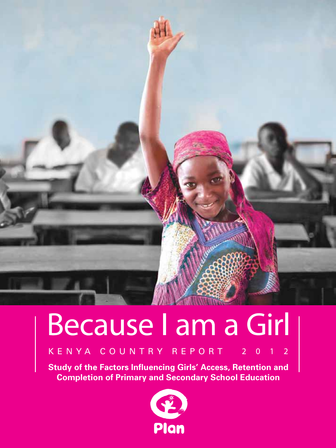# Because I am a Girl

#### KENYA COUNTRY REPORT  $2<sup>2</sup>$  $0<sub>1</sub>$  $\overline{2}$

**Study of the Factors Influencing Girls' Access, Retention and Completion of Primary and Secondary School Education**

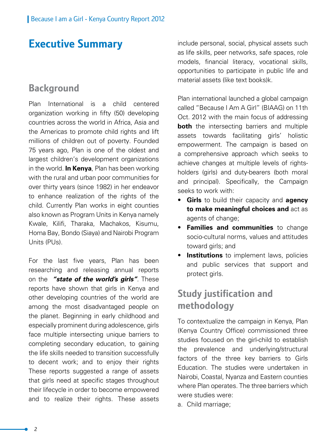## **Executive Summary**

## **Background**

Plan International is a child centered organization working in fifty (50) developing countries across the world in Africa, Asia and the Americas to promote child rights and lift millions of children out of poverty. Founded 75 years ago, Plan is one of the oldest and largest children's development organizations in the world. **In Kenya**, Plan has been working with the rural and urban poor communities for over thirty years (since 1982) in her endeavor to enhance realization of the rights of the child. Currently Plan works in eight counties also known as Program Units in Kenya namely Kwale, Kilifi, Tharaka, Machakos, Kisumu, Homa Bay, Bondo (Siaya) and Nairobi Program Units (PUs).

For the last five years, Plan has been researching and releasing annual reports on the *"state of the world's girls"*. These reports have shown that girls in Kenya and other developing countries of the world are among the most disadvantaged people on the planet. Beginning in early childhood and especially prominent during adolescence, girls face multiple intersecting unique barriers to completing secondary education, to gaining the life skills needed to transition successfully to decent work; and to enjoy their rights These reports suggested a range of assets that girls need at specific stages throughout their lifecycle in order to become empowered and to realize their rights. These assets

include personal, social, physical assets such as life skills, peer networks, safe spaces, role models, financial literacy, vocational skills, opportunities to participate in public life and material assets (like text books)k.

Plan international launched a global campaign called "Because I Am A Girl" (BIAAG) on 11th Oct. 2012 with the main focus of addressing **both** the intersecting barriers and multiple assets towards facilitating girls' holistic empowerment. The campaign is based on a comprehensive approach which seeks to achieve changes at multiple levels of rightsholders (girls) and duty-bearers (both moral and principal). Specifically, the Campaign seeks to work with:

- • **Girls** to build their capacity and **agency to make meaningful choices and** act as agents of change;
- **Families and communities** to change socio-cultural norms, values and attitudes toward girls; and
- **Institutions** to implement laws, policies and public services that support and protect girls.

## **Study justification and methodology**

To contextualize the campaign in Kenya, Plan (Kenya Country Office) commissioned three studies focused on the girl-child to establish the prevalence and underlying/structural factors of the three key barriers to Girls Education. The studies were undertaken in Nairobi, Coastal, Nyanza and Eastern counties where Plan operates. The three barriers which were studies were:

a. Child marriage;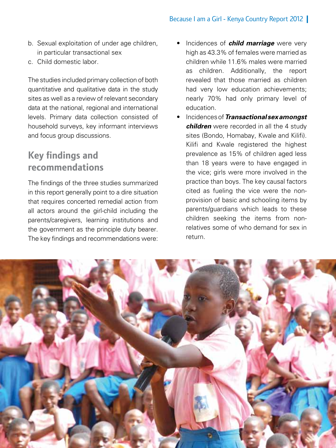- b. Sexual exploitation of under age children, in particular transactional sex
- c. Child domestic labor.

The studies included primary collection of both quantitative and qualitative data in the study sites as well as a review of relevant secondary data at the national, regional and international levels. Primary data collection consisted of household surveys, key informant interviews and focus group discussions.

## **Key findings and recommendations**

The findings of the three studies summarized in this report generally point to a dire situation that requires concerted remedial action from all actors around the girl-child including the parents/caregivers, learning institutions and the government as the principle duty bearer. The key findings and recommendations were:

- Incidences of **child marriage** were very high as 43.3% of females were married as children while 11.6% males were married as children. Additionally, the report revealed that those married as children had very low education achievements; nearly 70% had only primary level of education.
- Incidencesof*Transactional sex amongst children* were recorded in all the 4 study sites (Bondo, Homabay, Kwale and Kilifi). Kilifi and Kwale registered the highest prevalence as 15% of children aged less than 18 years were to have engaged in the vice; girls were more involved in the practice than boys. The key causal factors cited as fueling the vice were the nonprovision of basic and schooling items by parents/guardians which leads to these children seeking the items from nonrelatives some of who demand for sex in return.

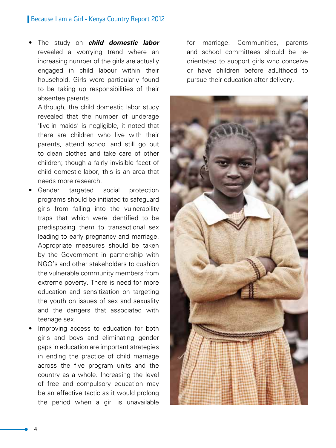#### Because I am a Girl - Kenya Country Report 2012

• The study on *child domestic labor* revealed a worrying trend where an increasing number of the girls are actually engaged in child labour within their household. Girls were particularly found to be taking up responsibilities of their absentee parents.

Although, the child domestic labor study revealed that the number of underage 'live-in maids' is negligible, it noted that there are children who live with their parents, attend school and still go out to clean clothes and take care of other children; though a fairly invisible facet of child domestic labor, this is an area that needs more research.

- Gender targeted social protection programs should be initiated to safeguard girls from falling into the vulnerability traps that which were identified to be predisposing them to transactional sex leading to early pregnancy and marriage. Appropriate measures should be taken by the Government in partnership with NGO's and other stakeholders to cushion the vulnerable community members from extreme poverty. There is need for more education and sensitization on targeting the youth on issues of sex and sexuality and the dangers that associated with teenage sex.
- Improving access to education for both girls and boys and eliminating gender gaps in education are important strategies in ending the practice of child marriage across the five program units and the country as a whole. Increasing the level of free and compulsory education may be an effective tactic as it would prolong the period when a girl is unavailable

for marriage. Communities, parents and school committees should be reorientated to support girls who conceive or have children before adulthood to pursue their education after delivery.

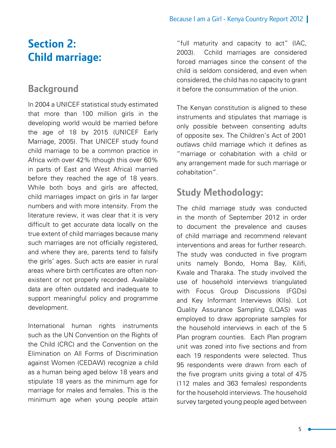## **Section 2: Child marriage:**

## **Background**

In 2004 a UNICEF statistical study estimated that more than 100 million girls in the developing world would be married before the age of 18 by 2015 (UNICEF Early Marriage, 2005). That UNICEF study found child marriage to be a common practice in Africa with over 42% (though this over 60% in parts of East and West Africa) married before they reached the age of 18 years. While both boys and girls are affected, child marriages impact on girls in far larger numbers and with more intensity. From the literature review, it was clear that it is very difficult to get accurate data locally on the true extent of child marriages because many such marriages are not officially registered, and where they are, parents tend to falsify the girls' ages. Such acts are easier in rural areas where birth certificates are often nonexistent or not properly recorded. Available data are often outdated and inadequate to support meaningful policy and programme development.

International human rights instruments such as the UN Convention on the Rights of the Child (CRC) and the Convention on the Elimination on All Forms of Discrimination against Women (CEDAW) recognize a child as a human being aged below 18 years and stipulate 18 years as the minimum age for marriage for males and females. This is the minimum age when young people attain

"full maturity and capacity to act" (IAC, 2003). Cchild marriages are considered forced marriages since the consent of the child is seldom considered, and even when considered, the child has no capacity to grant it before the consummation of the union.

The Kenyan constitution is aligned to these instruments and stipulates that marriage is only possible between consenting adults of opposite sex. The Children's Act of 2001 outlaws child marriage which it defines as "marriage or cohabitation with a child or any arrangement made for such marriage or cohabitation".

## **Study Methodology:**

The child marriage study was conducted in the month of September 2012 in order to document the prevalence and causes of child marriage and recommend relevant interventions and areas for further research. The study was conducted in five program units namely Bondo, Homa Bay, Kilifi, Kwale and Tharaka. The study involved the use of household interviews triangulated with Focus Group Discussions (FGDs) and Key Informant Interviews (KIIs). Lot Quality Assurance Sampling (LQAS) was employed to draw appropriate samples for the household interviews in each of the 5 Plan program counties. Each Plan program unit was zoned into five sections and from each 19 respondents were selected. Thus 95 respondents were drawn from each of the five program units giving a total of 475 (112 males and 363 females) respondents for the household interviews. The household survey targeted young people aged between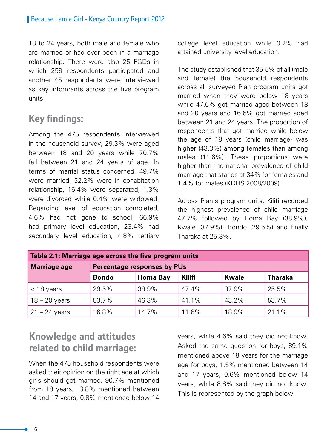18 to 24 years, both male and female who are married or had ever been in a marriage relationship. There were also 25 FGDs in which 259 respondents participated and another 45 respondents were interviewed as key informants across the five program units.

## **Key findings:**

Among the 475 respondents interviewed in the household survey, 29.3% were aged between 18 and 20 years while 70.7% fall between 21 and 24 years of age. In terms of marital status concerned, 49.7% were married, 32.2% were in cohabitation relationship, 16.4% were separated, 1.3% were divorced while 0.4% were widowed. Regarding level of education completed, 4.6% had not gone to school, 66.9% had primary level education, 23.4% had secondary level education, 4.8% tertiary college level education while 0.2% had attained university level education.

The study established that 35.5% of all (male and female) the household respondents across all surveyed Plan program units got married when they were below 18 years while 47.6% got married aged between 18 and 20 years and 16.6% got married aged between 21 and 24 years. The proportion of respondents that got married while below the age of 18 years (child marriage) was higher (43.3%) among females than among males (11.6%). These proportions were higher than the national prevalence of child marriage that stands at 34% for females and 1.4% for males (KDHS 2008/2009).

Across Plan's program units, Kilifi recorded the highest prevalence of child marriage 47.7% followed by Homa Bay (38.9%), Kwale (37.9%), Bondo (29.5%) and finally Tharaka at 25.3%.

| Table 2.1: Marriage age across the five program units |                                    |                 |               |       |         |  |  |  |  |  |
|-------------------------------------------------------|------------------------------------|-----------------|---------------|-------|---------|--|--|--|--|--|
| <b>Marriage age</b>                                   | <b>Percentage responses by PUs</b> |                 |               |       |         |  |  |  |  |  |
|                                                       | <b>Bondo</b>                       | <b>Homa Bay</b> | <b>Kilifi</b> | Kwale | Tharaka |  |  |  |  |  |
| $<$ 18 years                                          | 29.5%                              | 38.9%           | 47.4%         | 37.9% | 25.5%   |  |  |  |  |  |
| 18 – 20 years                                         | 53.7%                              | 46.3%           | 41.1%         | 43.2% | 53.7%   |  |  |  |  |  |
| $21 - 24$ years                                       | 16.8%                              | 14.7%           | 11.6%         | 18.9% | 21.1%   |  |  |  |  |  |

## **Knowledge and attitudes related to child marriage:**

When the 475 household respondents were asked their opinion on the right age at which girls should get married, 90.7% mentioned from 18 years, 3.8% mentioned between 14 and 17 years, 0.8% mentioned below 14 years, while 4.6% said they did not know. Asked the same question for boys, 89.1% mentioned above 18 years for the marriage age for boys, 1.5% mentioned between 14 and 17 years, 0.6% mentioned below 14 years, while 8.8% said they did not know. This is represented by the graph below.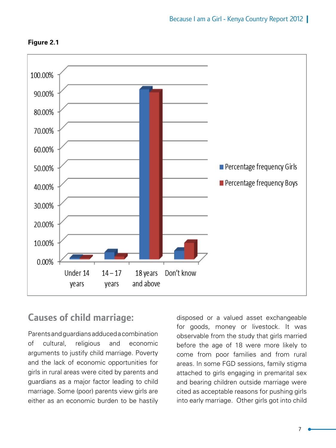



## **Causes of child marriage:**

Parents and guardians adduced a combination of cultural, religious and economic arguments to justify child marriage. Poverty and the lack of economic opportunities for girls in rural areas were cited by parents and guardians as a major factor leading to child marriage. Some (poor) parents view girls are either as an economic burden to be hastily disposed or a valued asset exchangeable for goods, money or livestock. It was observable from the study that girls married before the age of 18 were more likely to come from poor families and from rural areas. In some FGD sessions, family stigma attached to girls engaging in premarital sex and bearing children outside marriage were cited as acceptable reasons for pushing girls into early marriage. Other girls got into child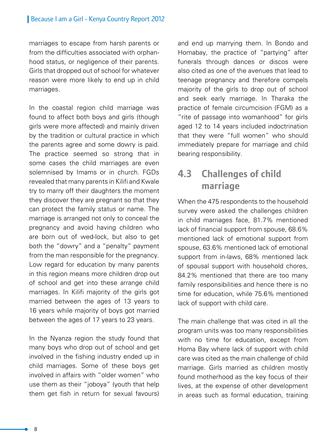marriages to escape from harsh parents or from the difficulties associated with orphanhood status, or negligence of their parents. Girls that dropped out of school for whatever reason were more likely to end up in child marriages.

In the coastal region child marriage was found to affect both boys and girls (though girls were more affected) and mainly driven by the tradition or cultural practice in which the parents agree and some dowry is paid. The practice seemed so strong that in some cases the child marriages are even solemnised by Imams or in church. FGDs revealed that many parents in Kilifi and Kwale try to marry off their daughters the moment they discover they are pregnant so that they can protect the family status or name. The marriage is arranged not only to conceal the pregnancy and avoid having children who are born out of wed-lock, but also to get both the "dowry" and a "penalty" payment from the man responsible for the pregnancy. Low regard for education by many parents in this region means more children drop out of school and get into these arrange child marriages. In Kilifi majority of the girls got married between the ages of 13 years to 16 years while majority of boys got married between the ages of 17 years to 23 years.

In the Nyanza region the study found that many boys who drop out of school and get involved in the fishing industry ended up in child marriages. Some of these boys get involved in affairs with "older women" who use them as their "joboya" (youth that help them get fish in return for sexual favours) and end up marrying them. In Bondo and Homabay, the practice of "partying" after funerals through dances or discos were also cited as one of the avenues that lead to teenage pregnancy and therefore compels majority of the girls to drop out of school and seek early marriage. In Tharaka the practice of female circumcision (FGM) as a "rite of passage into womanhood" for girls aged 12 to 14 years included indoctrination that they were "full women" who should immediately prepare for marriage and child bearing responsibility.

## **4.3 Challenges of child marriage**

When the 475 respondents to the household survey were asked the challenges children in child marriages face, 81.7% mentioned lack of financial support from spouse, 68.6% mentioned lack of emotional support from spouse, 63.6% mentioned lack of emotional support from in-laws, 68% mentioned lack of spousal support with household chores, 84.2% mentioned that there are too many family responsibilities and hence there is no time for education, while 75.6% mentioned lack of support with child care.

The main challenge that was cited in all the program units was too many responsibilities with no time for education, except from Homa Bay where lack of support with child care was cited as the main challenge of child marriage. Girls married as children mostly found motherhood as the key focus of their lives, at the expense of other development in areas such as formal education, training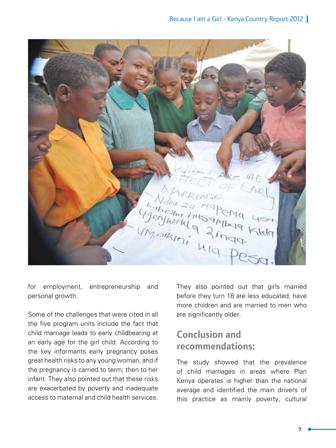

for employment, entrepreneurship and personal growth.

Some of the challenges that were cited in all the five program units include the fact that child marriage leads to early childbearing at an early age for the girl child. According to the key informants early pregnancy poses great health risks to any young woman, and if the pregnancy is carried to term; then to her infant. They also pointed out that these risks are exacerbated by poverty and inadequate access to maternal and child health services.

They also pointed out that girls married before they turn 18 are less educated, have more children and are married to men who are significantly older.

## **Conclusion and recommendations:**

The study showed that the prevalence of child marriages in areas where Plan Kenya operates is higher than the national average and identified the main drivers of this practice as mainly poverty, cultural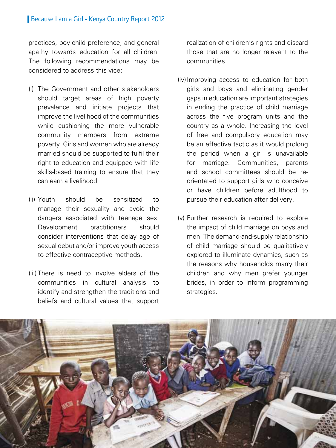practices, boy-child preference, and general apathy towards education for all children. The following recommendations may be considered to address this vice;

- (i) The Government and other stakeholders should target areas of high poverty prevalence and initiate projects that improve the livelihood of the communities while cushioning the more vulnerable community members from extreme poverty. Girls and women who are already married should be supported to fulfil their right to education and equipped with life skills-based training to ensure that they can earn a livelihood.
- (ii) Youth should be sensitized to manage their sexuality and avoid the dangers associated with teenage sex. Development practitioners should consider interventions that delay age of sexual debut and/or improve youth access to effective contraceptive methods.
- (iii) There is need to involve elders of the communities in cultural analysis to identify and strengthen the traditions and beliefs and cultural values that support

realization of children's rights and discard those that are no longer relevant to the communities.

- (iv)Improving access to education for both girls and boys and eliminating gender gaps in education are important strategies in ending the practice of child marriage across the five program units and the country as a whole. Increasing the level of free and compulsory education may be an effective tactic as it would prolong the period when a girl is unavailable for marriage. Communities, parents and school committees should be reorientated to support girls who conceive or have children before adulthood to pursue their education after delivery.
- (v) Further research is required to explore the impact of child marriage on boys and men. The demand-and-supply relationship of child marriage should be qualitatively explored to illuminate dynamics, such as the reasons why households marry their children and why men prefer younger brides, in order to inform programming strategies.

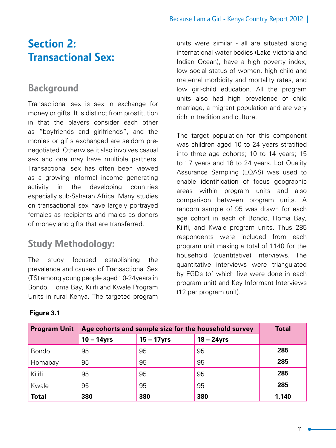## **Section 2: Transactional Sex:**

## **Background**

Transactional sex is sex in exchange for money or gifts. It is distinct from prostitution in that the players consider each other as "boyfriends and girlfriends", and the monies or gifts exchanged are seldom prenegotiated. Otherwise it also involves casual sex and one may have multiple partners. Transactional sex has often been viewed as a growing informal income generating activity in the developing countries especially sub-Saharan Africa. Many studies on transactional sex have largely portrayed females as recipients and males as donors of money and gifts that are transferred.

## **Study Methodology:**

The study focused establishing the prevalence and causes of Transactional Sex (TS) among young people aged 10-24years in Bondo, Homa Bay, Kilifi and Kwale Program Units in rural Kenya. The targeted program

#### **Figure 3.1**

units were similar - all are situated along international water bodies (Lake Victoria and Indian Ocean), have a high poverty index, low social status of women, high child and maternal morbidity and mortality rates, and low girl-child education. All the program units also had high prevalence of child marriage, a migrant population and are very rich in tradition and culture.

The target population for this component was children aged 10 to 24 years stratified into three age cohorts; 10 to 14 years; 15 to 17 years and 18 to 24 years. Lot Quality Assurance Sampling (LQAS) was used to enable identification of focus geographic areas within program units and also comparison between program units. A random sample of 95 was drawn for each age cohort in each of Bondo, Homa Bay, Kilifi, and Kwale program units. Thus 285 respondents were included from each program unit making a total of 1140 for the household (quantitative) interviews. The quantitative interviews were triangulated by FGDs (of which five were done in each program unit) and Key Informant Interviews (12 per program unit).

| <b>Program Unit</b> | Age cohorts and sample size for the household survey | <b>Total</b>  |               |       |
|---------------------|------------------------------------------------------|---------------|---------------|-------|
|                     | $10 - 14$ yrs                                        | $15 - 17$ yrs | $18 - 24$ yrs |       |
| <b>Bondo</b>        | 95                                                   | 95            | 95            | 285   |
| Homabay             | 95                                                   | 95            | 95            | 285   |
| Kilifi              | 95                                                   | 95            | 95            | 285   |
| Kwale               | 95                                                   | 95            | 95            | 285   |
| <b>Total</b>        | 380                                                  | 380           | 380           | 1,140 |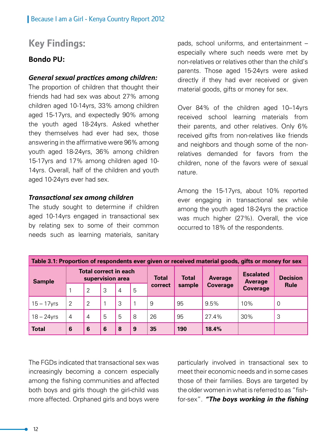## **Key Findings:**

### **Bondo PU:**

#### *General sexual practices among children:*

The proportion of children that thought their friends had had sex was about 27% among children aged 10-14yrs, 33% among children aged 15-17yrs, and expectedly 90% among the youth aged 18-24yrs. Asked whether they themselves had ever had sex, those answering in the affirmative were 96% among youth aged 18-24yrs, 36% among children 15-17yrs and 17% among children aged 10- 14yrs. Overall, half of the children and youth aged 10-24yrs ever had sex.

#### *Transactional sex among children*

The study sought to determine if children aged 10-14yrs engaged in transactional sex by relating sex to some of their common needs such as learning materials, sanitary pads, school uniforms, and entertainment – especially where such needs were met by non-relatives or relatives other than the child's parents. Those aged 15-24yrs were asked directly if they had ever received or given material goods, gifts or money for sex.

Over 84% of the children aged 10–14yrs received school learning materials from their parents, and other relatives. Only 6% received gifts from non-relatives like friends and neighbors and though some of the nonrelatives demanded for favors from the children, none of the favors were of sexual nature.

Among the 15-17yrs, about 10% reported ever engaging in transactional sex while among the youth aged 18-24yrs the practice was much higher (27%). Overall, the vice occurred to 18% of the respondents.

| Table 3.1: Proportion of respondents ever given or received material goods, gifts or money for sex |                |                                                  |   |                |   |                         |                        |                                   |                                                       |                                |
|----------------------------------------------------------------------------------------------------|----------------|--------------------------------------------------|---|----------------|---|-------------------------|------------------------|-----------------------------------|-------------------------------------------------------|--------------------------------|
| <b>Sample</b>                                                                                      |                | <b>Total correct in each</b><br>supervision area |   |                |   | <b>Total</b><br>correct | <b>Total</b><br>sample | <b>Average</b><br><b>Coverage</b> | <b>Escalated</b><br><b>Average</b><br><b>Coverage</b> | <b>Decision</b><br><b>Rule</b> |
|                                                                                                    |                | 2                                                | 3 | $\overline{4}$ | 5 |                         |                        |                                   |                                                       |                                |
| $15 - 17$ yrs                                                                                      | 2              | $\mathcal{P}$                                    |   | 3              |   | 9                       | 95                     | 9.5%                              | 10%                                                   | 0                              |
| $18 - 24$ yrs                                                                                      | $\overline{4}$ | $\overline{4}$                                   | 5 | 5              | 8 | 26                      | 95                     | 27.4%                             | 30%                                                   | 3                              |
| <b>Total</b>                                                                                       | 6              | 6                                                | 6 | 8              | 9 | 35                      | 190                    | 18.4%                             |                                                       |                                |

The FGDs indicated that transactional sex was increasingly becoming a concern especially among the fishing communities and affected both boys and girls though the girl-child was more affected. Orphaned girls and boys were

particularly involved in transactional sex to meet their economic needs and in some cases those of their families. Boys are targeted by the older women in what is referred to as "fishfor-sex". *"The boys working in the fishing*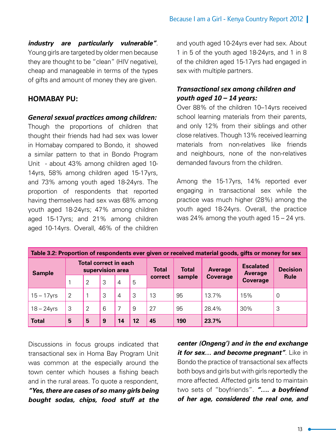*industry are particularly vulnerable"*. Young girls are targeted by older men because they are thought to be "clean" (HIV negative), cheap and manageable in terms of the types of gifts and amount of money they are given.

#### **HOMABAY PU:**

#### *General sexual practices among children:*

Though the proportions of children that thought their friends had had sex was lower in Homabay compared to Bondo, it showed a similar pattern to that in Bondo Program Unit - about 43% among children aged 10- 14yrs, 58% among children aged 15-17yrs, and 73% among youth aged 18-24yrs. The proportion of respondents that reported having themselves had sex was 68% among youth aged 18-24yrs; 47% among children aged 15-17yrs; and 21% among children aged 10-14yrs. Overall, 46% of the children

and youth aged 10-24yrs ever had sex. About 1 in 5 of the youth aged 18-24yrs, and 1 in 8 of the children aged 15-17yrs had engaged in sex with multiple partners.

#### *Transactional sex among children and youth aged 10 – 14 years:*

Over 88% of the children 10–14yrs received school learning materials from their parents, and only 12% from their siblings and other close relatives. Though 13% received learning materials from non-relatives like friends and neighbours, none of the non-relatives demanded favours from the children.

Among the 15-17yrs, 14% reported ever engaging in transactional sex while the practice was much higher (28%) among the youth aged 18-24yrs. Overall, the practice was 24% among the youth aged 15 – 24 yrs.

| Table 3.2: Proportion of respondents ever given or received material goods, gifts or money for sex |   |                                                  |   |                |    |                         |                        |                                   |                                                |                         |
|----------------------------------------------------------------------------------------------------|---|--------------------------------------------------|---|----------------|----|-------------------------|------------------------|-----------------------------------|------------------------------------------------|-------------------------|
| <b>Sample</b>                                                                                      |   | <b>Total correct in each</b><br>supervision area |   |                |    | <b>Total</b><br>correct | <b>Total</b><br>sample | <b>Average</b><br><b>Coverage</b> | <b>Escalated</b><br>Average<br><b>Coverage</b> | <b>Decision</b><br>Rule |
|                                                                                                    |   | 2                                                | 3 | $\overline{4}$ | 5  |                         |                        |                                   |                                                |                         |
| $15 - 17$ yrs                                                                                      | 2 |                                                  | 3 | $\overline{4}$ | 3  | 13                      | 95                     | 13.7%                             | 15%                                            | $\left( \right)$        |
| $18 - 24$ yrs                                                                                      | 3 | $\mathcal{P}$                                    | 6 | 7              | 9  | 27                      | 95                     | 28.4%                             | 30%                                            | 3                       |
| <b>Total</b>                                                                                       | 5 | 5                                                | 9 | 14             | 12 | 45                      | 190                    | 23.7%                             |                                                |                         |

Discussions in focus groups indicated that transactional sex in Homa Bay Program Unit was common at the especially around the town center which houses a fishing beach and in the rural areas. To quote a respondent, *"Yes, there are cases of so many girls being bought sodas, chips, food stuff at the* 

*center (Ongeng') and in the end exchange it for sex… and become pregnant"*. Like in Bondo the practice of transactional sex affects both boys and girls but with girls reportedly the more affected. Affected girls tend to maintain two sets of "boyfriends". *"…. a boyfriend of her age, considered the real one, and*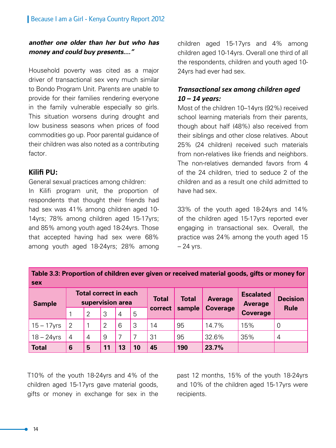### *another one older than her but who has money and could buy presents...."*

Household poverty was cited as a major driver of transactional sex very much similar to Bondo Program Unit. Parents are unable to provide for their families rendering everyone in the family vulnerable especially so girls. This situation worsens during drought and low business seasons when prices of food commodities go up. Poor parental guidance of their children was also noted as a contributing factor.

#### **Kilifi PU:**

General sexual practices among children:

In Kilifi program unit, the proportion of respondents that thought their friends had had sex was 41% among children aged 10- 14yrs; 78% among children aged 15-17yrs; and 85% among youth aged 18-24yrs. Those that accepted having had sex were 68% among youth aged 18-24yrs; 28% among

children aged 15-17yrs and 4% among children aged 10-14yrs. Overall one third of all the respondents, children and youth aged 10- 24yrs had ever had sex.

#### *Transactional sex among children aged 10 – 14 years:*

Most of the children 10–14yrs (92%) received school learning materials from their parents, though about half (48%) also received from their siblings and other close relatives. About 25% (24 children) received such materials from non-relatives like friends and neighbors. The non-relatives demanded favors from 4 of the 24 children, tried to seduce 2 of the children and as a result one child admitted to have had sex.

33% of the youth aged 18-24yrs and 14% of the children aged 15-17yrs reported ever engaging in transactional sex. Overall, the practice was 24% among the youth aged 15 – 24 yrs.

| Table 3.3: Proportion of children ever given or received material goods, gifts or money for<br><b>sex</b> |     |                                                  |                |                |   |                         |                        |                 |                                    |                 |  |
|-----------------------------------------------------------------------------------------------------------|-----|--------------------------------------------------|----------------|----------------|---|-------------------------|------------------------|-----------------|------------------------------------|-----------------|--|
| <b>Sample</b>                                                                                             |     | <b>Total correct in each</b><br>supervision area |                |                |   | <b>Total</b><br>correct | <b>Total</b><br>sample | <b>Average</b>  | <b>Escalated</b><br><b>Average</b> | <b>Decision</b> |  |
|                                                                                                           |     | $\mathcal{P}$                                    | 3              | $\overline{4}$ | 5 |                         |                        | <b>Coverage</b> | <b>Coverage</b>                    | <b>Rule</b>     |  |
| 15 – 17yrs                                                                                                | l 2 |                                                  | $\overline{2}$ | 6              | 3 | 14                      | 95                     | 14.7%           | 15%                                | $\Omega$        |  |
| $18 - 24$ yrs                                                                                             | 4   | $\overline{4}$                                   | 9              | $\overline{7}$ |   | 31                      | 95                     | 32.6%           | 35%                                | 4               |  |
|                                                                                                           |     |                                                  |                |                |   |                         |                        |                 |                                    |                 |  |

T10% of the youth 18-24yrs and 4% of the children aged 15-17yrs gave material goods, gifts or money in exchange for sex in the

**Total 6 5 11 13 10 45 190 23.7%**

past 12 months, 15% of the youth 18-24yrs and 10% of the children aged 15-17yrs were recipients.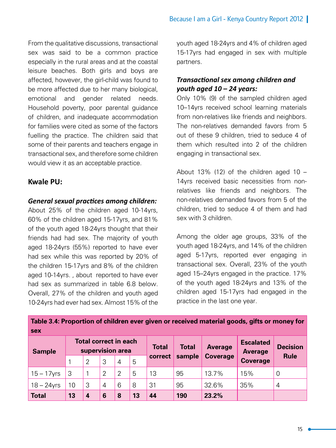From the qualitative discussions, transactional sex was said to be a common practice especially in the rural areas and at the coastal leisure beaches. Both girls and boys are affected, however, the girl-child was found to be more affected due to her many biological, emotional and gender related needs. Household poverty, poor parental guidance of children, and inadequate accommodation for families were cited as some of the factors fuelling the practice. The children said that some of their parents and teachers engage in transactional sex, and therefore some children would view it as an acceptable practice.

## **Kwale PU:**

#### *General sexual practices among children:*

About 25% of the children aged 10-14yrs, 60% of the children aged 15-17yrs, and 81% of the youth aged 18-24yrs thought that their friends had had sex. The majority of youth aged 18-24yrs (55%) reported to have ever had sex while this was reported by 20% of the children 15-17yrs and 8% of the children aged 10-14yrs. , about reported to have ever had sex as summarized in table 6.8 below. Overall, 27% of the children and youth aged 10-24yrs had ever had sex. Almost 15% of the

youth aged 18-24yrs and 4% of children aged 15-17yrs had engaged in sex with multiple partners.

#### *Transactional sex among children and youth aged 10 – 24 years:*

Only 10% (9) of the sampled children aged 10–14yrs received school learning materials from non-relatives like friends and neighbors. The non-relatives demanded favors from 5 out of these 9 children, tried to seduce 4 of them which resulted into 2 of the children engaging in transactional sex.

About 13% (12) of the children aged 10 – 14yrs received basic necessities from nonrelatives like friends and neighbors. The non-relatives demanded favors from 5 of the children, tried to seduce 4 of them and had sex with 3 children.

Among the older age groups, 33% of the youth aged 18-24yrs, and 14% of the children aged 5-17yrs, reported ever engaging in transactional sex. Overall, 23% of the youth aged 15–24yrs engaged in the practice. 17% of the youth aged 18-24yrs and 13% of the children aged 15-17yrs had engaged in the practice in the last one year.

| <b>sex</b>    |     |                                                  |                |                |    |                         |                        |                                   |                                                       |                                |  |
|---------------|-----|--------------------------------------------------|----------------|----------------|----|-------------------------|------------------------|-----------------------------------|-------------------------------------------------------|--------------------------------|--|
| <b>Sample</b> |     | <b>Total correct in each</b><br>supervision area |                |                |    | <b>Total</b><br>correct | <b>Total</b><br>sample | <b>Average</b><br><b>Coverage</b> | <b>Escalated</b><br><b>Average</b><br><b>Coverage</b> | <b>Decision</b><br><b>Rule</b> |  |
|               |     | $\mathcal{P}$                                    | 3              | $\overline{4}$ | 5  |                         |                        |                                   |                                                       |                                |  |
| 15 – 17yrs    | l 3 |                                                  | $\overline{2}$ | $\overline{2}$ | 5  | 13                      | 95                     | 13.7%                             | 15%                                                   | 0                              |  |
| $18 - 24$ yrs | 10  | 3                                                | 4              | 6              | 8  | 31                      | 95                     | 32.6%                             | 35%                                                   | 4                              |  |
| <b>Total</b>  | 13  | 4                                                | 6              | 8              | 13 | 44                      | 190                    | 23.2%                             |                                                       |                                |  |

**Table 3.4: Proportion of children ever given or received material goods, gifts or money for**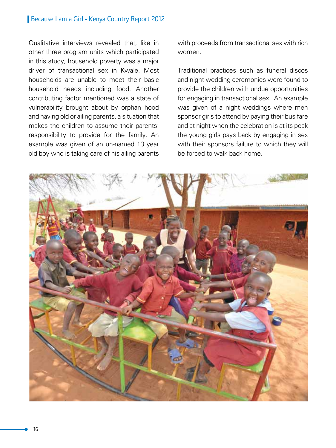#### Because I am a Girl - Kenya Country Report 2012

Qualitative interviews revealed that, like in other three program units which participated in this study, household poverty was a major driver of transactional sex in Kwale. Most households are unable to meet their basic household needs including food. Another contributing factor mentioned was a state of vulnerability brought about by orphan hood and having old or ailing parents, a situation that makes the children to assume their parents' responsibility to provide for the family. An example was given of an un-named 13 year old boy who is taking care of his ailing parents with proceeds from transactional sex with rich women.

Traditional practices such as funeral discos and night wedding ceremonies were found to provide the children with undue opportunities for engaging in transactional sex. An example was given of a night weddings where men sponsor girls to attend by paying their bus fare and at night when the celebration is at its peak the young girls pays back by engaging in sex with their sponsors failure to which they will be forced to walk back home.

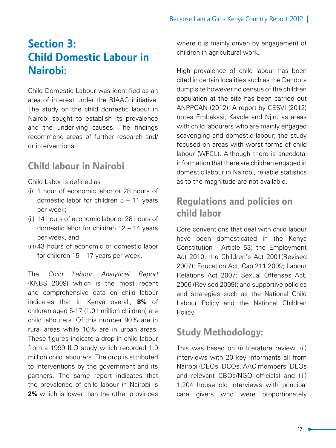# **Section 3: Child Domestic Labour in Nairobi:**

Child Domestic Labour was identified as an area of interest under the BIAAG initiative. The study on the child domestic labour in Nairobi sought to establish its prevalence and the underlying causes. The findings recommend areas of further research and/ or interventions.

## **Child labour in Nairobi**

Child Labor is defined as

- (i) 1 hour of economic labor or 28 hours of domestic labor for children 5 – 11 years per week;
- (ii) 14 hours of economic labor or 28 hours of domestic labor for children 12 – 14 years per week, and
- (iii) 43 hours of economic or domestic labor for children 15 – 17 years per week.

The *Child Labour Analytical Report*  (KNBS 2009) which is the most recent and comprehensive data on child labour indicates that in Kenya overall, **8%** of children aged 5-17 (1.01 million children) are child labourers. Of this number 90% are in rural areas while 10% are in urban areas. These figures indicate a drop in child labour from a 1999 ILO study which recorded 1.9 million child labourers. The drop is attributed to interventions by the government and its partners. The same report indicates that the prevalence of child labour in Nairobi is **2%** which is lower than the other provinces where it is mainly driven by engagement of children in agricultural work.

High prevalence of child labour has been cited in certain localities such as the Dandora dump site however no census of the children population at the site has been carried out ANPPCAN (2012). A report by CESVI (2012) notes Embakasi, Kayole and Njiru as areas with child labourers who are mainly engaged scavenging and domestic labour; the study focused on areas with worst forms of child labour (WFCL). Although there is anecdotal information that there are children engaged in domestic labour in Nairobi, reliable statistics as to the magnitude are not available.

## **Regulations and policies on child labor**

Core conventions that deal with child labour have been domesticated in the Kenya Constitution - Article 53; the Employment Act 2010; the Children's Act 2001(Revised 2007); Education Act, Cap 211 2009; Labour Relations Act 2007; Sexual Offenses Act, 2006 (Revised 2009); and supportive policies and strategies such as the National Child Labour Policy and the National Children Policy.

## **Study Methodology:**

This was based on (i) literature review, (ii) interviews with 20 key informants all from Nairobi (DEOs, DCOs, AAC members, DLOs and relevant CBOs/NGO officials) and (iii) 1,204 household interviews with principal care givers who were proportionately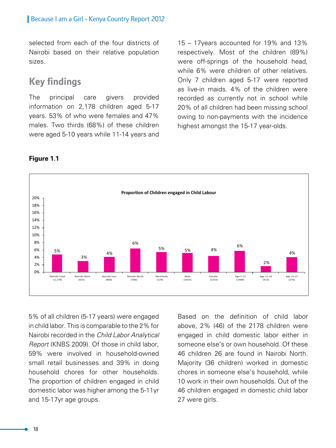selected from each of the four districts of Nairobi based on their relative population sizes.

## **Key findings**

The principal care givers provided information on 2,178 children aged 5-17 years. 53% of who were females and 47% males. Two thirds (68%) of these children were aged 5-10 years while 11-14 years and

15 – 17years accounted for 19% and 13% respectively. Most of the children (89%) were off-springs of the household head, while 6% were children of other relatives. Only 7 children aged 5-17 were reported as live-in maids. 4% of the children were recorded as currently not in school while 20% of all children had been missing school owing to non-payments with the incidence highest amongst the 15-17 year-olds.



#### **Figure 1.1**

5% of all children (5-17 years) were engaged in child labor. This is comparable to the 2% for Nairobi recorded in the *Child Labor Analytical Report* (KNBS 2009). Of those in child labor, 59% were involved in household-owned small retail businesses and 39% in doing household chores for other households. The proportion of children engaged in child domestic labor was higher among the 5-11yr and 15-17yr age groups.

Based on the definition of child labor above, 2% (46) of the 2178 children were engaged in child domestic labor either in someone else's or own household. Of these 46 children 26 are found in Nairobi North. Majority (36 children) worked in domestic chores in someone else's household, while 10 work in their own households. Out of the 46 children engaged in domestic child labor 27 were girls.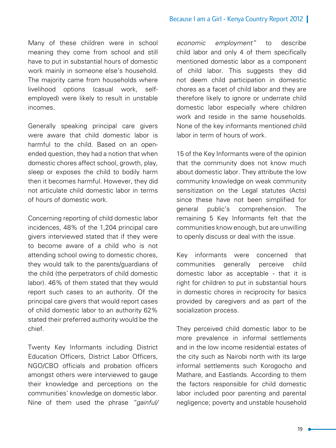#### Because I am a Girl - Kenya Country Report 2012

Many of these children were in school meaning they come from school and still have to put in substantial hours of domestic work mainly in someone else's household. The majority came from households where livelihood options (casual work, selfemployed) were likely to result in unstable incomes.

Generally speaking principal care givers were aware that child domestic labor is harmful to the child. Based on an openended question, they had a notion that when domestic chores affect school, growth, play, sleep or exposes the child to bodily harm then it becomes harmful. However, they did not articulate child domestic labor in terms of hours of domestic work.

Concerning reporting of child domestic labor incidences, 48% of the 1,204 principal care givers interviewed stated that if they were to become aware of a child who is not attending school owing to domestic chores, they would talk to the parents/guardians of the child (the perpetrators of child domestic labor). 46% of them stated that they would report such cases to an authority. Of the principal care givers that would report cases of child domestic labor to an authority 62% stated their preferred authority would be the chief.

Twenty Key Informants including District Education Officers, District Labor Officers, NGO/CBO officials and probation officers amongst others were interviewed to gauge their knowledge and perceptions on the communities' knowledge on domestic labor. Nine of them used the phrase *"gainful/* *economic employment"* to describe child labor and only 4 of them specifically mentioned domestic labor as a component of child labor. This suggests they did not deem child participation in domestic chores as a facet of child labor and they are therefore likely to ignore or underrate child domestic labor especially where children work and reside in the same households. None of the key informants mentioned child labor in term of hours of work.

15 of the Key Informants were of the opinion that the community does not know much about domestic labor. They attribute the low community knowledge on weak community sensitization on the Legal statutes (Acts) since these have not been simplified for general public's comprehension. The remaining 5 Key Informants felt that the communities know enough, but are unwilling to openly discuss or deal with the issue.

Key informants were concerned that communities generally perceive child domestic labor as acceptable - that it is right for children to put in substantial hours in domestic chores in reciprocity for basics provided by caregivers and as part of the socialization process.

They perceived child domestic labor to be more prevalence in informal settlements and in the low income residential estates of the city such as Nairobi north with its large informal settlements such Korogocho and Mathare, and Eastlands. According to them the factors responsible for child domestic labor included poor parenting and parental negligence; poverty and unstable household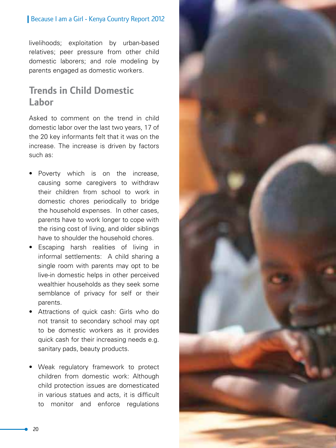#### Because I am a Girl - Kenya Country Report 2012

livelihoods; exploitation by urban-based relatives; peer pressure from other child domestic laborers; and role modeling by parents engaged as domestic workers.

## **Trends in Child Domestic Labor**

Asked to comment on the trend in child domestic labor over the last two years, 17 of the 20 key informants felt that it was on the increase. The increase is driven by factors such as:

- Poverty which is on the increase, causing some caregivers to withdraw their children from school to work in domestic chores periodically to bridge the household expenses. In other cases, parents have to work longer to cope with the rising cost of living, and older siblings have to shoulder the household chores.
- **Escaping harsh realities of living in** informal settlements: A child sharing a single room with parents may opt to be live-in domestic helps in other perceived wealthier households as they seek some semblance of privacy for self or their parents.
- Attractions of quick cash: Girls who do not transit to secondary school may opt to be domestic workers as it provides quick cash for their increasing needs e.g. sanitary pads, beauty products.
- Weak regulatory framework to protect children from domestic work: Although child protection issues are domesticated in various statues and acts, it is difficult to monitor and enforce regulations

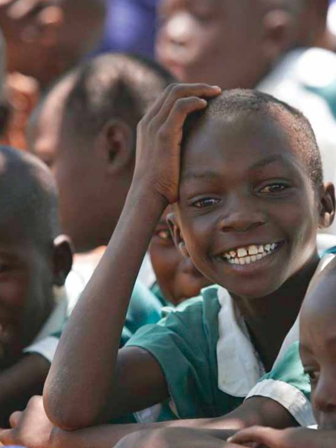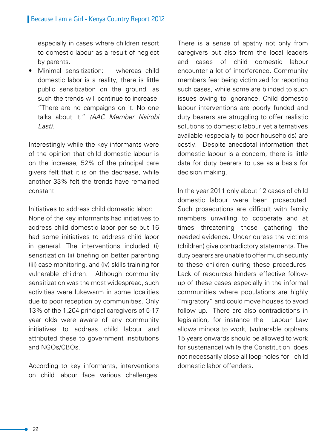especially in cases where children resort to domestic labour as a result of neglect by parents.

• Minimal sensitization: whereas child domestic labor is a reality, there is little public sensitization on the ground, as such the trends will continue to increase. "There are no campaigns on it. No one talks about it." *(AAC Member Nairobi East).* 

Interestingly while the key informants were of the opinion that child domestic labour is on the increase, 52% of the principal care givers felt that it is on the decrease, while another 33% felt the trends have remained constant.

Initiatives to address child domestic labor: None of the key informants had initiatives to address child domestic labor per se but 16 had some initiatives to address child labor in general. The interventions included (i) sensitization (ii) briefing on better parenting (iii) case monitoring, and (iv) skills training for vulnerable children. Although community sensitization was the most widespread, such activities were lukewarm in some localities due to poor reception by communities. Only 13% of the 1,204 principal caregivers of 5-17 year olds were aware of any community initiatives to address child labour and attributed these to government institutions and NGOs/CBOs.

According to key informants, interventions on child labour face various challenges. There is a sense of apathy not only from caregivers but also from the local leaders and cases of child domestic labour encounter a lot of interference. Community members fear being victimized for reporting such cases, while some are blinded to such issues owing to ignorance. Child domestic labour interventions are poorly funded and duty bearers are struggling to offer realistic solutions to domestic labour yet alternatives available (especially to poor households) are costly. Despite anecdotal information that domestic labour is a concern, there is little data for duty bearers to use as a basis for decision making.

In the year 2011 only about 12 cases of child domestic labour were been prosecuted. Such prosecutions are difficult with family members unwilling to cooperate and at times threatening those gathering the needed evidence. Under duress the victims (children) give contradictory statements. The duty bearers are unable to offer much security to these children during these procedures. Lack of resources hinders effective followup of these cases especially in the informal communities where populations are highly "migratory" and could move houses to avoid follow up. There are also contradictions in legislation, for instance the Labour Law allows minors to work, (vulnerable orphans 15 years onwards should be allowed to work for sustenance) while the Constitution does not necessarily close all loop-holes for child domestic labor offenders.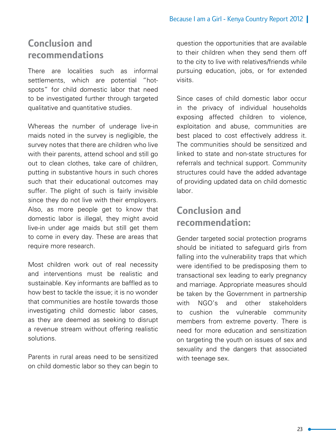## **Conclusion and recommendations**

There are localities such as informal settlements, which are potential "hotspots" for child domestic labor that need to be investigated further through targeted qualitative and quantitative studies.

Whereas the number of underage live-in maids noted in the survey is negligible, the survey notes that there are children who live with their parents, attend school and still go out to clean clothes, take care of children, putting in substantive hours in such chores such that their educational outcomes may suffer. The plight of such is fairly invisible since they do not live with their employers. Also, as more people get to know that domestic labor is illegal, they might avoid live-in under age maids but still get them to come in every day. These are areas that require more research.

Most children work out of real necessity and interventions must be realistic and sustainable. Key informants are baffled as to how best to tackle the issue; it is no wonder that communities are hostile towards those investigating child domestic labor cases, as they are deemed as seeking to disrupt a revenue stream without offering realistic solutions.

Parents in rural areas need to be sensitized on child domestic labor so they can begin to question the opportunities that are available to their children when they send them off to the city to live with relatives/friends while pursuing education, jobs, or for extended visits.

Since cases of child domestic labor occur in the privacy of individual households exposing affected children to violence, exploitation and abuse, communities are best placed to cost effectively address it. The communities should be sensitized and linked to state and non-state structures for referrals and technical support. Community structures could have the added advantage of providing updated data on child domestic labor.

## **Conclusion and recommendation:**

Gender targeted social protection programs should be initiated to safeguard girls from falling into the vulnerability traps that which were identified to be predisposing them to transactional sex leading to early pregnancy and marriage. Appropriate measures should be taken by the Government in partnership with NGO's and other stakeholders to cushion the vulnerable community members from extreme poverty. There is need for more education and sensitization on targeting the youth on issues of sex and sexuality and the dangers that associated with teenage sex.